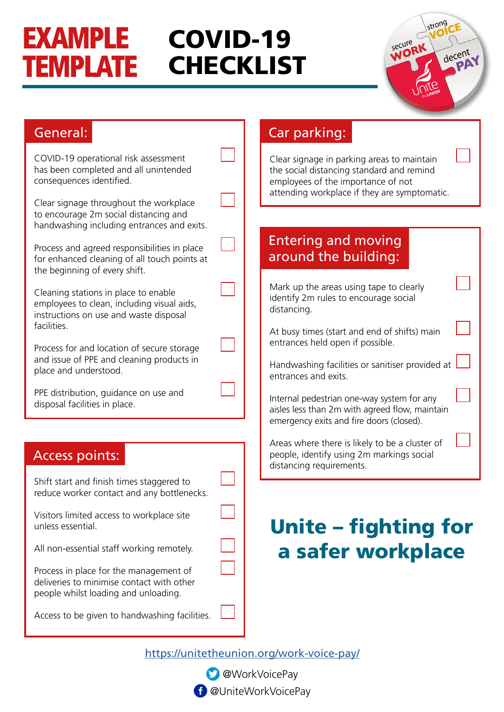#### EXAMPLE TEMPLATE COVID-19 **CHECKLIST**

|                | strong               |
|----------------|----------------------|
| secure<br>WORK | decent               |
|                | PAY                  |
|                | <b>e</b><br>theUNION |

#### COVID-19 operational risk assessment has been completed and all unintended consequences identified. Clear signage throughout the workplace to encourage 2m social distancing and handwashing including entrances and exits. Process and agreed responsibilities in place for enhanced cleaning of all touch points at the beginning of every shift. Cleaning stations in place to enable employees to clean, including visual aids, instructions on use and waste disposal facilities. Process for and location of secure storage and issue of PPE and cleaning products in place and understood. PPE distribution, guidance on use and disposal facilities in place. General: Shift start and finish times staggered to reduce worker contact and any bottlenecks. Visitors limited access to workplace site unless essential. All non-essential staff working remotely. Process in place for the management of deliveries to minimise contact with other people whilst loading and unloading. Access to be given to handwashing facilities. Access points: Clear signage in parking areas to maintain the social distancing standard and remind employees of the importance of not attending workplace if they are symptomatic. Car parking: Mark up the areas using tape to clearly identify 2m rules to encourage social distancing. At busy times (start and end of shifts) main entrances held open if possible. Handwashing facilities or sanitiser provided at entrances and exits. Internal pedestrian one-way system for any aisles less than 2m with agreed flow, maintain emergency exits and fire doors (closed). Areas where there is likely to be a cluster of people, identify using 2m markings social distancing requirements. Entering and moving around the building: Unite – fighting for a safer workplace

<https://unitetheunion.org/work-voice-pay/>